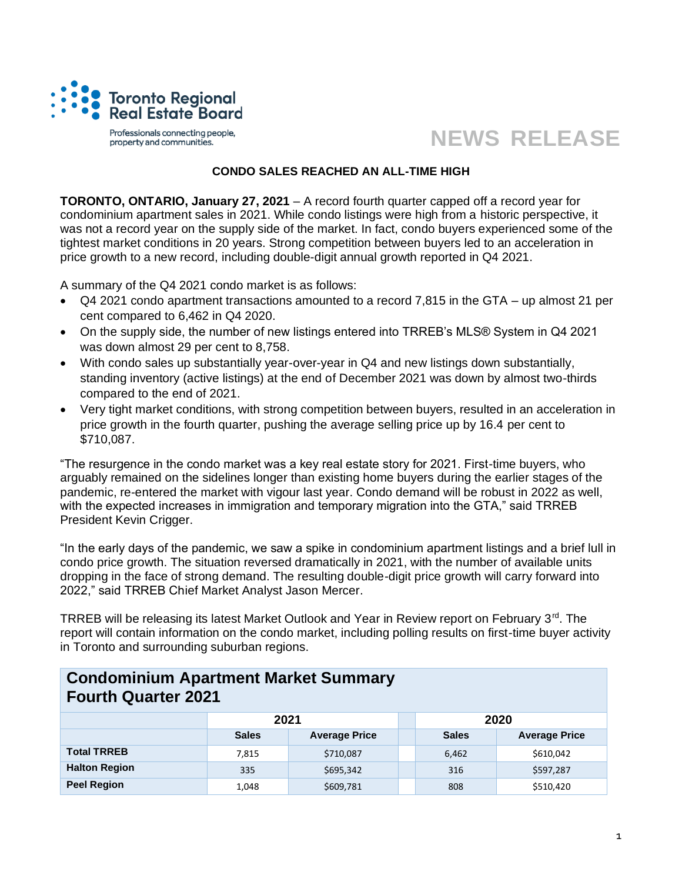

Professionals connecting people, property and communities.

## **NEWS RELEASE**

## **CONDO SALES REACHED AN ALL-TIME HIGH**

**TORONTO, ONTARIO, January 27, 2021** – A record fourth quarter capped off a record year for condominium apartment sales in 2021. While condo listings were high from a historic perspective, it was not a record year on the supply side of the market. In fact, condo buyers experienced some of the tightest market conditions in 20 years. Strong competition between buyers led to an acceleration in price growth to a new record, including double-digit annual growth reported in Q4 2021.

A summary of the Q4 2021 condo market is as follows:

- Q4 2021 condo apartment transactions amounted to a record 7,815 in the GTA up almost 21 per cent compared to 6,462 in Q4 2020.
- On the supply side, the number of new listings entered into TRREB's MLS<sup>®</sup> System in Q4 2021 was down almost 29 per cent to 8,758.
- With condo sales up substantially year-over-year in Q4 and new listings down substantially, standing inventory (active listings) at the end of December 2021 was down by almost two-thirds compared to the end of 2021.
- Very tight market conditions, with strong competition between buyers, resulted in an acceleration in price growth in the fourth quarter, pushing the average selling price up by 16.4 per cent to \$710,087.

"The resurgence in the condo market was a key real estate story for 2021. First-time buyers, who arguably remained on the sidelines longer than existing home buyers during the earlier stages of the pandemic, re-entered the market with vigour last year. Condo demand will be robust in 2022 as well, with the expected increases in immigration and temporary migration into the GTA," said TRREB President Kevin Crigger.

"In the early days of the pandemic, we saw a spike in condominium apartment listings and a brief lull in condo price growth. The situation reversed dramatically in 2021, with the number of available units dropping in the face of strong demand. The resulting double-digit price growth will carry forward into 2022," said TRREB Chief Market Analyst Jason Mercer.

TRREB will be releasing its latest Market Outlook and Year in Review report on February 3<sup>rd</sup>. The report will contain information on the condo market, including polling results on first-time buyer activity in Toronto and surrounding suburban regions.

## **Condominium Apartment Market Summary Fourth Quarter 2021**

|                      | 2021         |                      |  | 2020         |                      |  |  |  |
|----------------------|--------------|----------------------|--|--------------|----------------------|--|--|--|
|                      | <b>Sales</b> | <b>Average Price</b> |  | <b>Sales</b> | <b>Average Price</b> |  |  |  |
| <b>Total TRREB</b>   | 7,815        | \$710,087            |  | 6,462        | \$610,042            |  |  |  |
| <b>Halton Region</b> | 335          | \$695,342            |  | 316          | \$597,287            |  |  |  |
| <b>Peel Region</b>   | 1,048        | \$609,781            |  | 808          | \$510,420            |  |  |  |